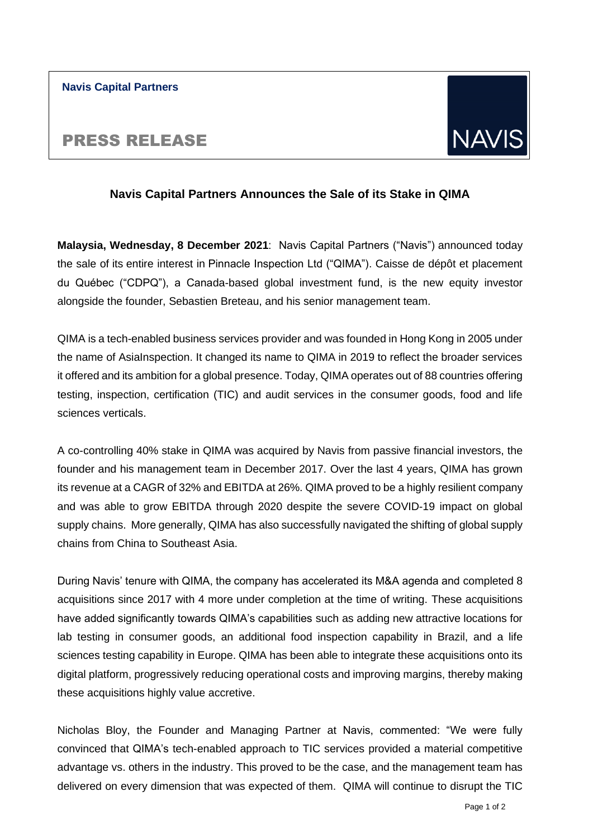**Navis Capital Partners**

# PRESS RELEASE

# **Navis Capital Partners Announces the Sale of its Stake in QIMA**

**Malaysia, Wednesday, 8 December 2021**: Navis Capital Partners ("Navis") announced today the sale of its entire interest in Pinnacle Inspection Ltd ("QIMA"). Caisse de dépôt et placement du Québec ("CDPQ"), a Canada-based global investment fund, is the new equity investor alongside the founder, Sebastien Breteau, and his senior management team.

QIMA is a tech-enabled business services provider and was founded in Hong Kong in 2005 under the name of AsiaInspection. It changed its name to QIMA in 2019 to reflect the broader services it offered and its ambition for a global presence. Today, QIMA operates out of 88 countries offering testing, inspection, certification (TIC) and audit services in the consumer goods, food and life sciences verticals.

A co-controlling 40% stake in QIMA was acquired by Navis from passive financial investors, the founder and his management team in December 2017. Over the last 4 years, QIMA has grown its revenue at a CAGR of 32% and EBITDA at 26%. QIMA proved to be a highly resilient company and was able to grow EBITDA through 2020 despite the severe COVID-19 impact on global supply chains. More generally, QIMA has also successfully navigated the shifting of global supply chains from China to Southeast Asia.

During Navis' tenure with QIMA, the company has accelerated its M&A agenda and completed 8 acquisitions since 2017 with 4 more under completion at the time of writing. These acquisitions have added significantly towards QIMA's capabilities such as adding new attractive locations for lab testing in consumer goods, an additional food inspection capability in Brazil, and a life sciences testing capability in Europe. QIMA has been able to integrate these acquisitions onto its digital platform, progressively reducing operational costs and improving margins, thereby making these acquisitions highly value accretive.

Nicholas Bloy, the Founder and Managing Partner at Navis, commented: "We were fully convinced that QIMA's tech-enabled approach to TIC services provided a material competitive advantage vs. others in the industry. This proved to be the case, and the management team has delivered on every dimension that was expected of them. QIMA will continue to disrupt the TIC